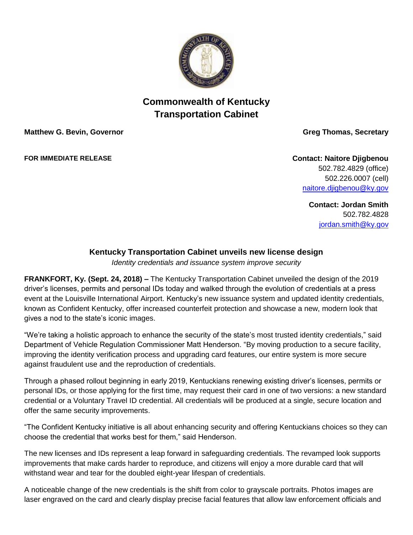

## **Commonwealth of Kentucky Transportation Cabinet**

**Matthew G. Bevin, Governor Greg Thomas, Secretary** 

**FOR IMMEDIATE RELEASE Contact: Naitore Djigbenou** 502.782.4829 (office) 502.226.0007 (cell) [naitore.djigbenou@ky.gov](mailto:naitore.djigbenou@ky.gov)

> **Contact: Jordan Smith** 502.782.4828 [jordan.smith@ky.gov](mailto:jordan.smith@ky.gov)

## **Kentucky Transportation Cabinet unveils new license design**

*Identity credentials and issuance system improve security*

**FRANKFORT, Ky. (Sept. 24, 2018) –** The Kentucky Transportation Cabinet unveiled the design of the 2019 driver's licenses, permits and personal IDs today and walked through the evolution of credentials at a press event at the Louisville International Airport. Kentucky's new issuance system and updated identity credentials, known as Confident Kentucky, offer increased counterfeit protection and showcase a new, modern look that gives a nod to the state's iconic images.

"We're taking a holistic approach to enhance the security of the state's most trusted identity credentials," said Department of Vehicle Regulation Commissioner Matt Henderson. "By moving production to a secure facility, improving the identity verification process and upgrading card features, our entire system is more secure against fraudulent use and the reproduction of credentials.

Through a phased rollout beginning in early 2019, Kentuckians renewing existing driver's licenses, permits or personal IDs, or those applying for the first time, may request their card in one of two versions: a new standard credential or a Voluntary Travel ID credential. All credentials will be produced at a single, secure location and offer the same security improvements.

"The Confident Kentucky initiative is all about enhancing security and offering Kentuckians choices so they can choose the credential that works best for them," said Henderson.

The new licenses and IDs represent a leap forward in safeguarding credentials. The revamped look supports improvements that make cards harder to reproduce, and citizens will enjoy a more durable card that will withstand wear and tear for the doubled eight-year lifespan of credentials.

A noticeable change of the new credentials is the shift from color to grayscale portraits. Photos images are laser engraved on the card and clearly display precise facial features that allow law enforcement officials and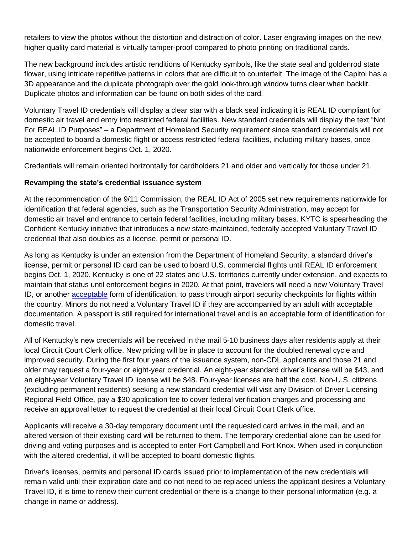retailers to view the photos without the distortion and distraction of color. Laser engraving images on the new, higher quality card material is virtually tamper-proof compared to photo printing on traditional cards.

The new background includes artistic renditions of Kentucky symbols, like the state seal and goldenrod state flower, using intricate repetitive patterns in colors that are difficult to counterfeit. The image of the Capitol has a 3D appearance and the duplicate photograph over the gold look-through window turns clear when backlit. Duplicate photos and information can be found on both sides of the card.

Voluntary Travel ID credentials will display a clear star with a black seal indicating it is REAL ID compliant for domestic air travel and entry into restricted federal facilities. New standard credentials will display the text "Not For REAL ID Purposes" – a Department of Homeland Security requirement since standard credentials will not be accepted to board a domestic flight or access restricted federal facilities, including military bases, once nationwide enforcement begins Oct. 1, 2020.

Credentials will remain oriented horizontally for cardholders 21 and older and vertically for those under 21.

## **Revamping the state's credential issuance system**

At the recommendation of the 9/11 Commission, the REAL ID Act of 2005 set new requirements nationwide for identification that federal agencies, such as the Transportation Security Administration, may accept for domestic air travel and entrance to certain federal facilities, including military bases. KYTC is spearheading the Confident Kentucky initiative that introduces a new state-maintained, federally accepted Voluntary Travel ID credential that also doubles as a license, permit or personal ID.

As long as Kentucky is under an extension from the Department of Homeland Security, a standard driver's license, permit or personal ID card can be used to board U.S. commercial flights until REAL ID enforcement begins Oct. 1, 2020. Kentucky is one of 22 states and U.S. territories currently under extension, and expects to maintain that status until enforcement begins in 2020. At that point, travelers will need a new Voluntary Travel ID, or another [acceptable](https://www.tsa.gov/travel/security-screening/identification) form of identification, to pass through airport security checkpoints for flights within the country. Minors do not need a Voluntary Travel ID if they are accompanied by an adult with acceptable documentation. A passport is still required for international travel and is an acceptable form of identification for domestic travel.

All of Kentucky's new credentials will be received in the mail 5-10 business days after residents apply at their local Circuit Court Clerk office. New pricing will be in place to account for the doubled renewal cycle and improved security. During the first four years of the issuance system, non-CDL applicants and those 21 and older may request a four-year or eight-year credential. An eight-year standard driver's license will be \$43, and an eight-year Voluntary Travel ID license will be \$48. Four-year licenses are half the cost. Non-U.S. citizens (excluding permanent residents) seeking a new standard credential will visit any Division of Driver Licensing Regional Field Office, pay a \$30 application fee to cover federal verification charges and processing and receive an approval letter to request the credential at their local Circuit Court Clerk office.

Applicants will receive a 30-day temporary document until the requested card arrives in the mail, and an altered version of their existing card will be returned to them. The temporary credential alone can be used for driving and voting purposes and is accepted to enter Fort Campbell and Fort Knox. When used in conjunction with the altered credential, it will be accepted to board domestic flights.

Driver's licenses, permits and personal ID cards issued prior to implementation of the new credentials will remain valid until their expiration date and do not need to be replaced unless the applicant desires a Voluntary Travel ID, it is time to renew their current credential or there is a change to their personal information (e.g. a change in name or address).